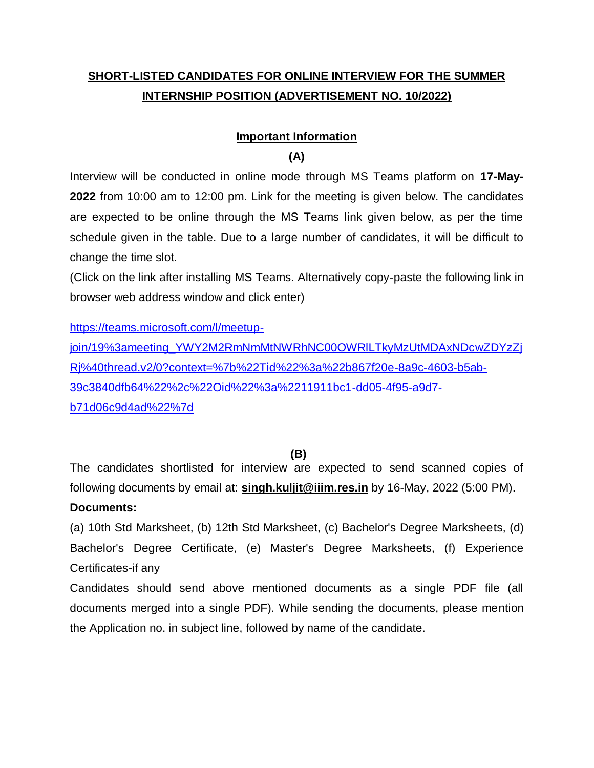# **SHORT-LISTED CANDIDATES FOR ONLINE INTERVIEW FOR THE SUMMER INTERNSHIP POSITION (ADVERTISEMENT NO. 10/2022)**

## **Important Information**

#### **(A)**

Interview will be conducted in online mode through MS Teams platform on **17-May-2022** from 10:00 am to 12:00 pm. Link for the meeting is given below. The candidates are expected to be online through the MS Teams link given below, as per the time schedule given in the table. Due to a large number of candidates, it will be difficult to change the time slot.

(Click on the link after installing MS Teams. Alternatively copy-paste the following link in browser web address window and click enter)

[https://teams.microsoft.com/l/meetup-](https://teams.microsoft.com/l/meetup-join/19%3ameeting_YWY2M2RmNmMtNWRhNC00OWRlLTkyMzUtMDAxNDcwZDYzZjRj%40thread.v2/0?context=%7b%22Tid%22%3a%22b867f20e-8a9c-4603-b5ab-39c3840dfb64%22%2c%22Oid%22%3a%2211911bc1-dd05-4f95-a9d7-b71d06c9d4ad%22%7d)

join/19%3ameeting\_YWY2M2RmNmMtNWRhNC00OWRILTkyMzUtMDAxNDcwZDYzZj [Rj%40thread.v2/0?context=%7b%22Tid%22%3a%22b867f20e-8a9c-4603-b5ab-](https://teams.microsoft.com/l/meetup-join/19%3ameeting_YWY2M2RmNmMtNWRhNC00OWRlLTkyMzUtMDAxNDcwZDYzZjRj%40thread.v2/0?context=%7b%22Tid%22%3a%22b867f20e-8a9c-4603-b5ab-39c3840dfb64%22%2c%22Oid%22%3a%2211911bc1-dd05-4f95-a9d7-b71d06c9d4ad%22%7d)[39c3840dfb64%22%2c%22Oid%22%3a%2211911bc1-dd05-4f95-a9d7](https://teams.microsoft.com/l/meetup-join/19%3ameeting_YWY2M2RmNmMtNWRhNC00OWRlLTkyMzUtMDAxNDcwZDYzZjRj%40thread.v2/0?context=%7b%22Tid%22%3a%22b867f20e-8a9c-4603-b5ab-39c3840dfb64%22%2c%22Oid%22%3a%2211911bc1-dd05-4f95-a9d7-b71d06c9d4ad%22%7d) [b71d06c9d4ad%22%7d](https://teams.microsoft.com/l/meetup-join/19%3ameeting_YWY2M2RmNmMtNWRhNC00OWRlLTkyMzUtMDAxNDcwZDYzZjRj%40thread.v2/0?context=%7b%22Tid%22%3a%22b867f20e-8a9c-4603-b5ab-39c3840dfb64%22%2c%22Oid%22%3a%2211911bc1-dd05-4f95-a9d7-b71d06c9d4ad%22%7d)

**(B)**

The candidates shortlisted for interview are expected to send scanned copies of following documents by email at: **singh.kuljit@iiim.res.in** by 16-May, 2022 (5:00 PM).

#### **Documents:**

(a) 10th Std Marksheet, (b) 12th Std Marksheet, (c) Bachelor's Degree Marksheets, (d) Bachelor's Degree Certificate, (e) Master's Degree Marksheets, (f) Experience Certificates-if any

Candidates should send above mentioned documents as a single PDF file (all documents merged into a single PDF). While sending the documents, please mention the Application no. in subject line, followed by name of the candidate.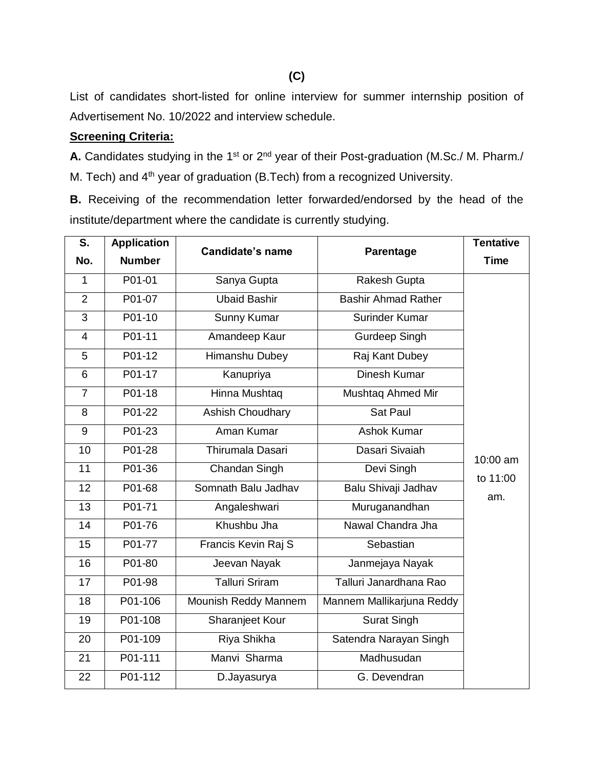List of candidates short-listed for online interview for summer internship position of Advertisement No. 10/2022 and interview schedule.

### **Screening Criteria:**

A. Candidates studying in the 1<sup>st</sup> or 2<sup>nd</sup> year of their Post-graduation (M.Sc./ M. Pharm./ M. Tech) and 4<sup>th</sup> year of graduation (B.Tech) from a recognized University.

**B.** Receiving of the recommendation letter forwarded/endorsed by the head of the institute/department where the candidate is currently studying.

| $\overline{\mathsf{s}}$ . | <b>Application</b> | <b>Candidate's name</b> | Parentage                  | <b>Tentative</b> |
|---------------------------|--------------------|-------------------------|----------------------------|------------------|
| No.                       | <b>Number</b>      |                         |                            | <b>Time</b>      |
| $\mathbf{1}$              | P01-01             | Sanya Gupta             | Rakesh Gupta               |                  |
| $\overline{2}$            | P01-07             | <b>Ubaid Bashir</b>     | <b>Bashir Ahmad Rather</b> |                  |
| 3                         | P01-10             | Sunny Kumar             | Surinder Kumar             |                  |
| 4                         | P01-11             | Amandeep Kaur           | <b>Gurdeep Singh</b>       |                  |
| 5                         | P01-12             | Himanshu Dubey          | Raj Kant Dubey             |                  |
| 6                         | P01-17             | Kanupriya               | Dinesh Kumar               |                  |
| $\overline{7}$            | P01-18             | Hinna Mushtaq           | Mushtaq Ahmed Mir          |                  |
| 8                         | P01-22             | <b>Ashish Choudhary</b> | Sat Paul                   |                  |
| 9                         | P01-23             | Aman Kumar              | <b>Ashok Kumar</b>         |                  |
| 10                        | P01-28             | Thirumala Dasari        | Dasari Sivaiah             | 10:00 am         |
| 11                        | P01-36             | Chandan Singh           | Devi Singh                 | to 11:00         |
| 12                        | P01-68             | Somnath Balu Jadhav     | Balu Shivaji Jadhav        | am.              |
| 13                        | P01-71             | Angaleshwari            | Muruganandhan              |                  |
| 14                        | P01-76             | Khushbu Jha             | Nawal Chandra Jha          |                  |
| 15                        | P01-77             | Francis Kevin Raj S     | Sebastian                  |                  |
| 16                        | P01-80             | Jeevan Nayak            | Janmejaya Nayak            |                  |
| 17                        | P01-98             | <b>Talluri Sriram</b>   | Talluri Janardhana Rao     |                  |
| 18                        | P01-106            | Mounish Reddy Mannem    | Mannem Mallikarjuna Reddy  |                  |
| 19                        | P01-108            | Sharanjeet Kour         | <b>Surat Singh</b>         |                  |
| 20                        | P01-109            | Riya Shikha             | Satendra Narayan Singh     |                  |
| 21                        | P01-111            | Manvi Sharma            | Madhusudan                 |                  |
| 22                        | P01-112            | D.Jayasurya             | G. Devendran               |                  |